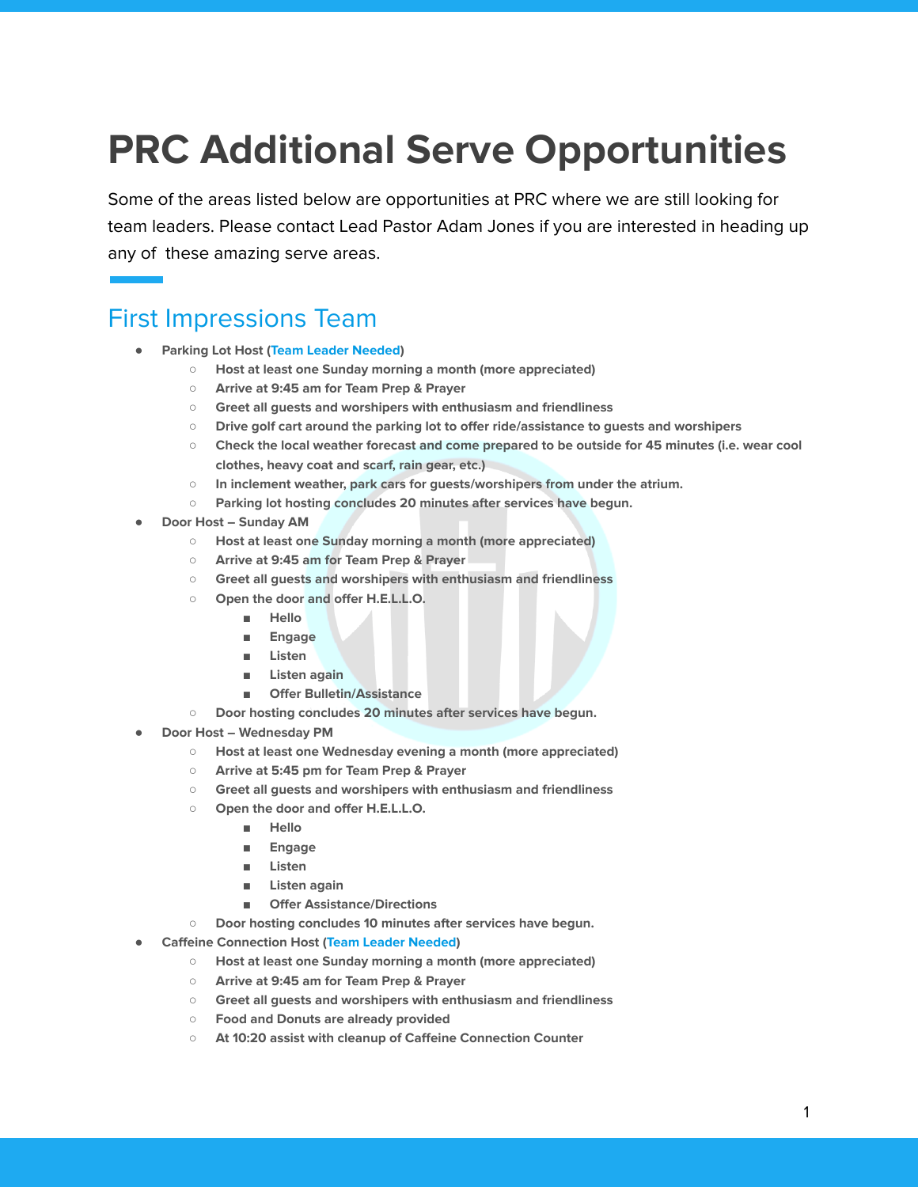# **PRC Additional Serve Opportunities**

Some of the areas listed below are opportunities at PRC where we are still looking for team leaders. Please contact Lead Pastor Adam Jones if you are interested in heading up any of these amazing serve areas.

## First Impressions Team

- **● Parking Lot Host (Team Leader Needed)**
	- **○ Host at least one Sunday morning a month (more appreciated)**
	- **○ Arrive at 9:45 am for Team Prep & Prayer**
	- **○ Greet all guests and worshipers with enthusiasm and friendliness**
	- **○ Drive golf cart around the parking lot to offer ride/assistance to guests and worshipers**
	- **○ Check the local weather forecast and come prepared to be outside for 45 minutes (i.e. wear cool clothes, heavy coat and scarf, rain gear, etc.)**
	- **○ In inclement weather, park cars for guests/worshipers from under the atrium.**
	- **○ Parking lot hosting concludes 20 minutes after services have begun.**
- **● Door Host – Sunday AM**
	- **○ Host at least one Sunday morning a month (more appreciated)**
	- **○ Arrive at 9:45 am for Team Prep & Prayer**
	- **○ Greet all guests and worshipers with enthusiasm and friendliness**
	- **○ Open the door and offer H.E.L.L.O.**
		- **■ Hello**
		- **■ Engage**
		- **■ Listen**
		- **■ Listen again**
		- **■ Offer Bulletin/Assistance**
	- **○ Door hosting concludes 20 minutes after services have begun.**
- **● Door Host – Wednesday PM**
	- **○ Host at least one Wednesday evening a month (more appreciated)**
	- **○ Arrive at 5:45 pm for Team Prep & Prayer**
	- **○ Greet all guests and worshipers with enthusiasm and friendliness**
	- **○ Open the door and offer H.E.L.L.O.**
		- **■ Hello**
		- **■ Engage**
		- **■ Listen**
		- **■ Listen again**
		- **■ Offer Assistance/Directions**
	- **○ Door hosting concludes 10 minutes after services have begun.**
- **● Caffeine Connection Host (Team Leader Needed)**
	- **○ Host at least one Sunday morning a month (more appreciated)**
	- **○ Arrive at 9:45 am for Team Prep & Prayer**
	- **○ Greet all guests and worshipers with enthusiasm and friendliness**
	- **○ Food and Donuts are already provided**
	- **○ At 10:20 assist with cleanup of Caffeine Connection Counter**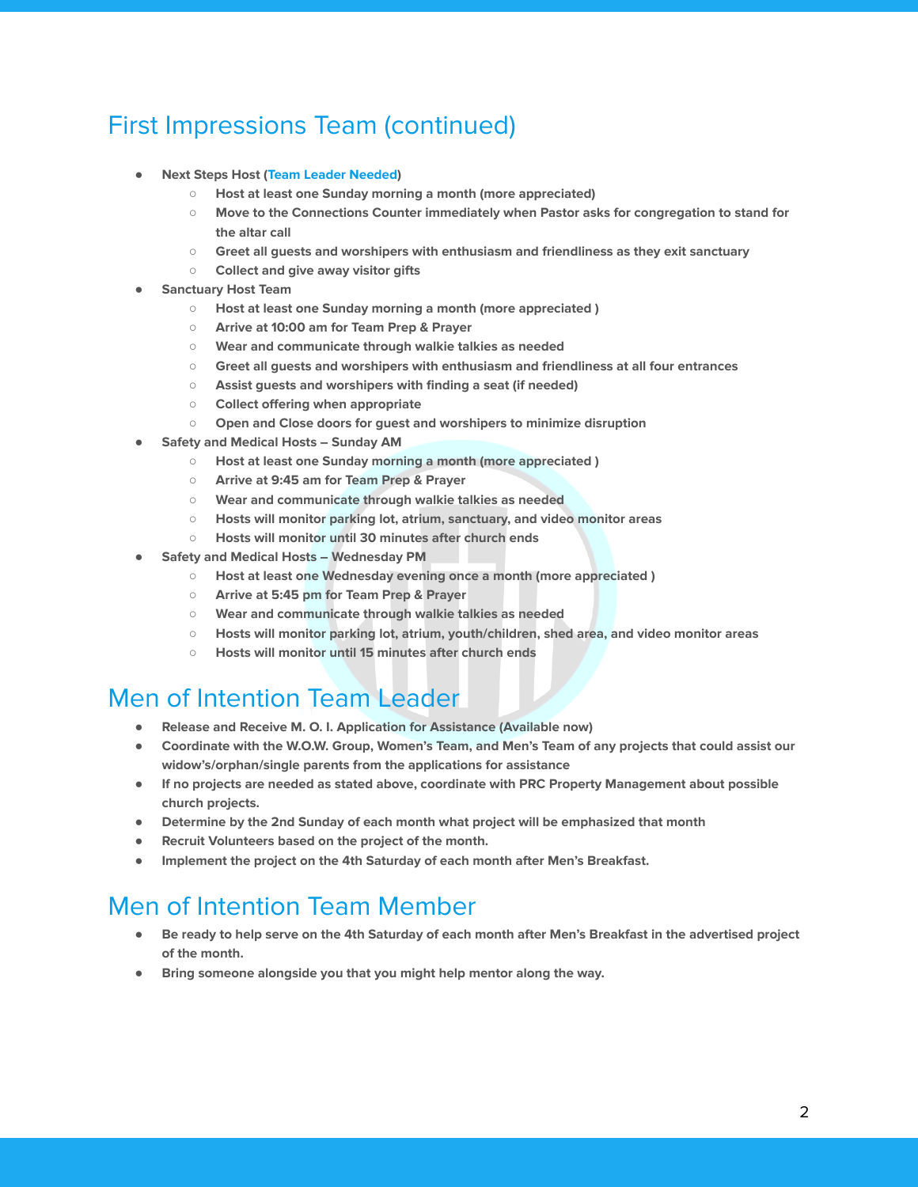# First Impressions Team (continued)

- **● Next Steps Host (Team Leader Needed)**
	- **○ Host at least one Sunday morning a month (more appreciated)**
	- **○ Move to the Connections Counter immediately when Pastor asks for congregation to stand for the altar call**
	- **○ Greet all guests and worshipers with enthusiasm and friendliness as they exit sanctuary**
	- **○ Collect and give away visitor gifts**
- **● Sanctuary Host Team**
	- **○ Host at least one Sunday morning a month (more appreciated )**
	- **○ Arrive at 10:00 am for Team Prep & Prayer**
	- **○ Wear and communicate through walkie talkies as needed**
	- **○ Greet all guests and worshipers with enthusiasm and friendliness at all four entrances**
	- **○ Assist guests and worshipers with finding a seat (if needed)**
	- **○ Collect offering when appropriate**
	- **○ Open and Close doors for guest and worshipers to minimize disruption**
- **● Safety and Medical Hosts – Sunday AM**
	- **○ Host at least one Sunday morning a month (more appreciated )**
	- **○ Arrive at 9:45 am for Team Prep & Prayer**
	- **○ Wear and communicate through walkie talkies as needed**
	- **○ Hosts will monitor parking lot, atrium, sanctuary, and video monitor areas**
	- **○ Hosts will monitor until 30 minutes after church ends**
- **● Safety and Medical Hosts – Wednesday PM**
	- **○ Host at least one Wednesday evening once a month (more appreciated )**
	- **○ Arrive at 5:45 pm for Team Prep & Prayer**
	- **○ Wear and communicate through walkie talkies as needed**
	- **○ Hosts will monitor parking lot, atrium, youth/children, shed area, and video monitor areas**
	- **○ Hosts will monitor until 15 minutes after church ends**

#### Men of Intention Team Leader

- **● Release and Receive M. O. I. Application for Assistance (Available now)**
- Coordinate with the W.O.W. Group, Women's Team, and Men's Team of any projects that could assist our **widow's/orphan/single parents from the applications for assistance**
- **● If no projects are needed as stated above, coordinate with PRC Property Management about possible church projects.**
- **● Determine by the 2nd Sunday of each month what project will be emphasized that month**
- **● Recruit Volunteers based on the project of the month.**
- **● Implement the project on the 4th Saturday of each month after Men's Breakfast.**

## Men of Intention Team Member

- Be ready to help serve on the 4th Saturday of each month after Men's Breakfast in the advertised project **of the month.**
- **● Bring someone alongside you that you might help mentor along the way.**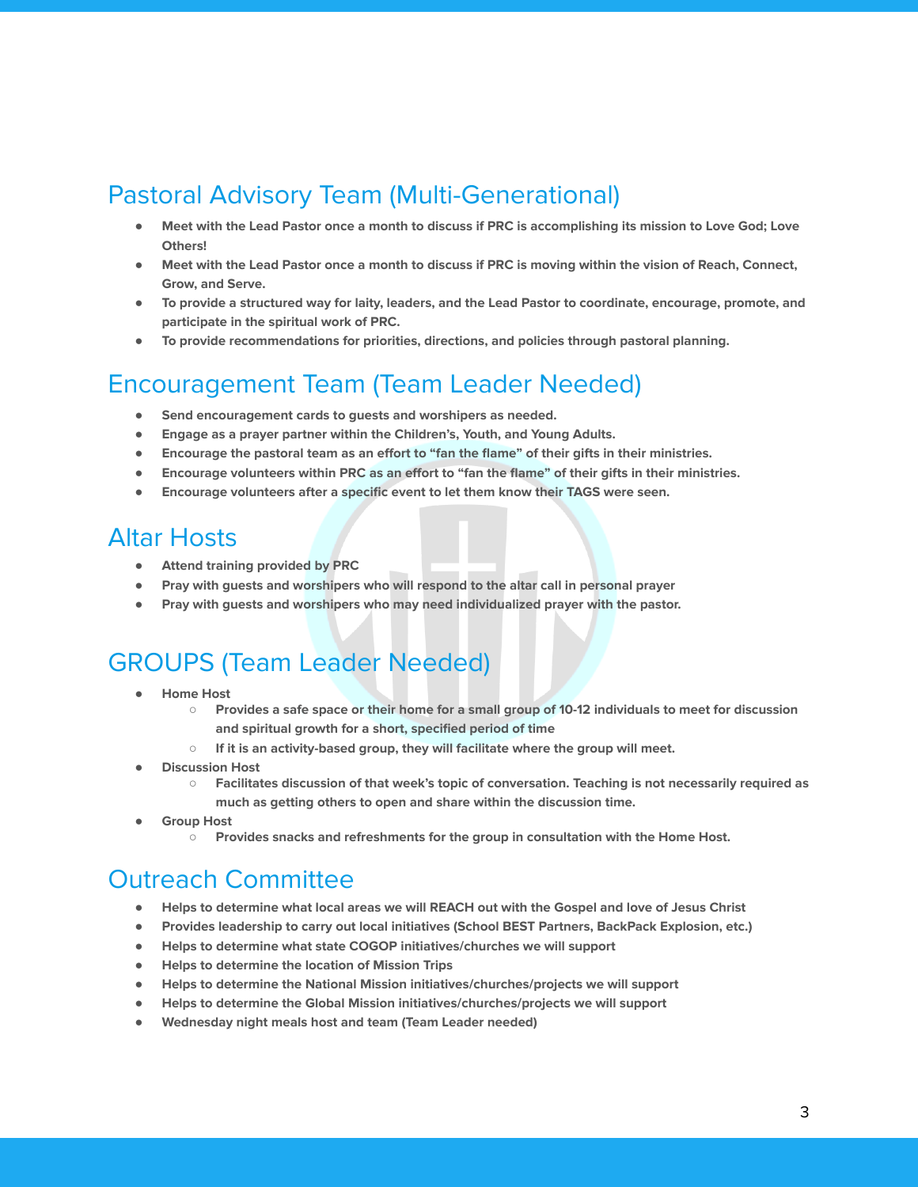## Pastoral Advisory Team (Multi-Generational)

- Meet with the Lead Pastor once a month to discuss if PRC is accomplishing its mission to Love God; Love **Others!**
- Meet with the Lead Pastor once a month to discuss if PRC is moving within the vision of Reach, Connect, **Grow, and Serve.**
- To provide a structured way for laity, leaders, and the Lead Pastor to coordinate, encourage, promote, and **participate in the spiritual work of PRC.**
- **● To provide recommendations for priorities, directions, and policies through pastoral planning.**

# Encouragement Team (Team Leader Needed)

- **● Send encouragement cards to guests and worshipers as needed.**
- **● Engage as a prayer partner within the Children's, Youth, and Young Adults.**
- **● Encourage the pastoral team as an effort to "fan the flame" of their gifts in their ministries.**
- Encourage volunteers within PRC as an effort to "fan the flame" of their gifts in their ministries.
- **● Encourage volunteers after a specific event to let them know their TAGS were seen.**

## Altar Hosts

- **● Attend training provided by PRC**
- **● Pray with guests and worshipers who will respond to the altar call in personal prayer**
- **● Pray with guests and worshipers who may need individualized prayer with the pastor.**

# GROUPS (Team Leader Needed)

- **● Home Host**
	- o Provides a safe space or their home for a small group of 10-12 individuals to meet for discussion **and spiritual growth for a short, specified period of time**
	- **○ If it is an activity-based group, they will facilitate where the group will meet.**
- **● Discussion Host**
	- **○ Facilitates discussion of that week's topic of conversation. Teaching is not necessarily required as much as getting others to open and share within the discussion time.**
- **● Group Host**
	- **○ Provides snacks and refreshments for the group in consultation with the Home Host.**

# Outreach Committee

- Helps to determine what local areas we will REACH out with the Gospel and love of Jesus Christ
- **● Provides leadership to carry out local initiatives (School BEST Partners, BackPack Explosion, etc.)**
- **● Helps to determine what state COGOP initiatives/churches we will support**
- **● Helps to determine the location of Mission Trips**
- **● Helps to determine the National Mission initiatives/churches/projects we will support**
- **● Helps to determine the Global Mission initiatives/churches/projects we will support**
- **● Wednesday night meals host and team (Team Leader needed)**